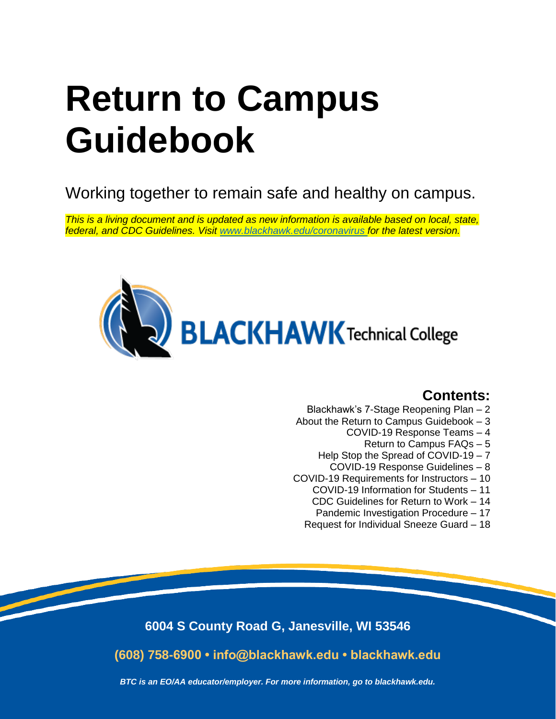# **Return to Campus Guidebook**

Working together to remain safe and healthy on campus.

*This is a living document and is updated as new information is available based on local, state, federal, and CDC Guidelines. Visit [www.blackhawk.edu/coronavirus f](http://www.blackhawk.edu/coronavirus)or the latest version.*



# **Contents:**

- Blackhawk's 7-Stage Reopening Plan 2
- About the Return to Campus Guidebook 3
	- COVID-19 Response Teams 4
		- Return to Campus FAQs 5
	- Help Stop the Spread of COVID-19 7
		- COVID-19 Response Guidelines 8
- COVID-19 Requirements for Instructors 10
	- COVID-19 Information for Students 11
	- CDC Guidelines for Return to Work 14
	- Pandemic Investigation Procedure 17
	- Request for Individual Sneeze Guard 18

**6004 S County Road G, Janesville, WI 53546**

**(608) 758-6900 • info@blackhawk.edu • blackhawk.edu**

*BTC is an EO/AA educator/employer. For more information, go to blackhawk.edu.*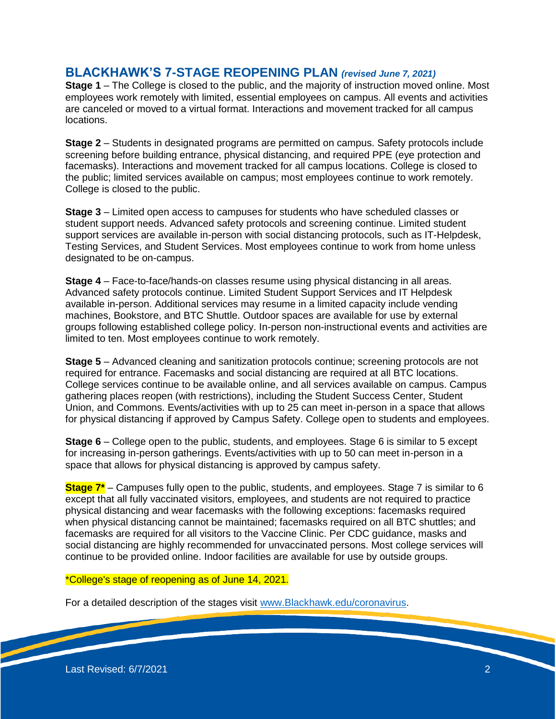# **BLACKHAWK'S 7-STAGE REOPENING PLAN** *(revised June 7, 2021)*

**Stage 1** – The College is closed to the public, and the majority of instruction moved online. Most employees work remotely with limited, essential employees on campus. All events and activities are canceled or moved to a virtual format. Interactions and movement tracked for all campus locations.

**Stage 2** – Students in designated programs are permitted on campus. Safety protocols include screening before building entrance, physical distancing, and required PPE (eye protection and facemasks). Interactions and movement tracked for all campus locations. College is closed to the public; limited services available on campus; most employees continue to work remotely. College is closed to the public.

**Stage 3** – Limited open access to campuses for students who have scheduled classes or student support needs. Advanced safety protocols and screening continue. Limited student support services are available in-person with social distancing protocols, such as IT-Helpdesk, Testing Services, and Student Services. Most employees continue to work from home unless designated to be on-campus.

**Stage 4** – Face-to-face/hands-on classes resume using physical distancing in all areas. Advanced safety protocols continue. Limited Student Support Services and IT Helpdesk available in-person. Additional services may resume in a limited capacity include vending machines, Bookstore, and BTC Shuttle. Outdoor spaces are available for use by external groups following established college policy. In-person non-instructional events and activities are limited to ten. Most employees continue to work remotely.

**Stage 5** – Advanced cleaning and sanitization protocols continue; screening protocols are not required for entrance. Facemasks and social distancing are required at all BTC locations. College services continue to be available online, and all services available on campus. Campus gathering places reopen (with restrictions), including the Student Success Center, Student Union, and Commons. Events/activities with up to 25 can meet in-person in a space that allows for physical distancing if approved by Campus Safety. College open to students and employees.

**Stage 6** – College open to the public, students, and employees. Stage 6 is similar to 5 except for increasing in-person gatherings. Events/activities with up to 50 can meet in-person in a space that allows for physical distancing is approved by campus safety.

**Stage 7\*** – Campuses fully open to the public, students, and employees. Stage 7 is similar to 6 except that all fully vaccinated visitors, employees, and students are not required to practice physical distancing and wear facemasks with the following exceptions: facemasks required when physical distancing cannot be maintained; facemasks required on all BTC shuttles; and facemasks are required for all visitors to the Vaccine Clinic. Per CDC guidance, masks and social distancing are highly recommended for unvaccinated persons. Most college services will continue to be provided online. Indoor facilities are available for use by outside groups.

# \*College's stage of reopening as of June 14, 2021.

For a detailed description of the stages visit [www.Blackhawk.edu/coronavirus.](http://www.blackhawk.edu/coronavirus)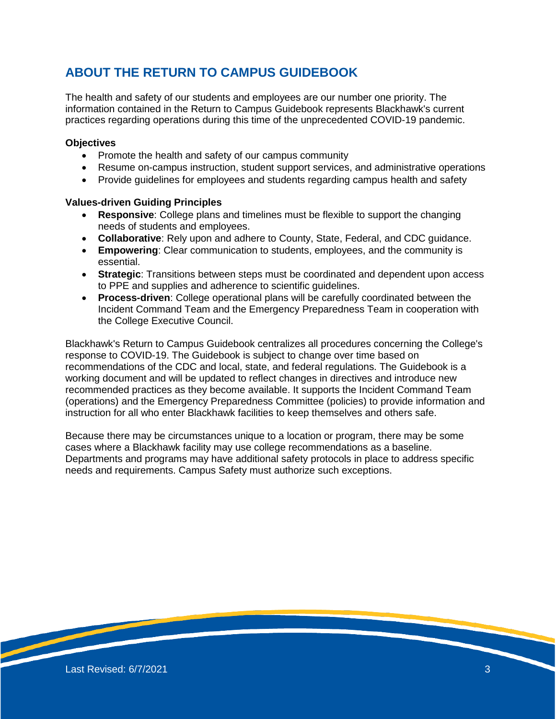# **ABOUT THE RETURN TO CAMPUS GUIDEBOOK**

The health and safety of our students and employees are our number one priority. The information contained in the Return to Campus Guidebook represents Blackhawk's current practices regarding operations during this time of the unprecedented COVID-19 pandemic.

#### **Objectives**

- Promote the health and safety of our campus community
- Resume on-campus instruction, student support services, and administrative operations
- Provide guidelines for employees and students regarding campus health and safety

#### **Values-driven Guiding Principles**

- **Responsive**: College plans and timelines must be flexible to support the changing needs of students and employees.
- **Collaborative**: Rely upon and adhere to County, State, Federal, and CDC guidance.
- **Empowering**: Clear communication to students, employees, and the community is essential.
- **Strategic**: Transitions between steps must be coordinated and dependent upon access to PPE and supplies and adherence to scientific guidelines.
- **Process-driven**: College operational plans will be carefully coordinated between the Incident Command Team and the Emergency Preparedness Team in cooperation with the College Executive Council.

Blackhawk's Return to Campus Guidebook centralizes all procedures concerning the College's response to COVID-19. The Guidebook is subject to change over time based on recommendations of the CDC and local, state, and federal regulations. The Guidebook is a working document and will be updated to reflect changes in directives and introduce new recommended practices as they become available. It supports the Incident Command Team (operations) and the Emergency Preparedness Committee (policies) to provide information and instruction for all who enter Blackhawk facilities to keep themselves and others safe.

Because there may be circumstances unique to a location or program, there may be some cases where a Blackhawk facility may use college recommendations as a baseline. Departments and programs may have additional safety protocols in place to address specific needs and requirements. Campus Safety must authorize such exceptions.

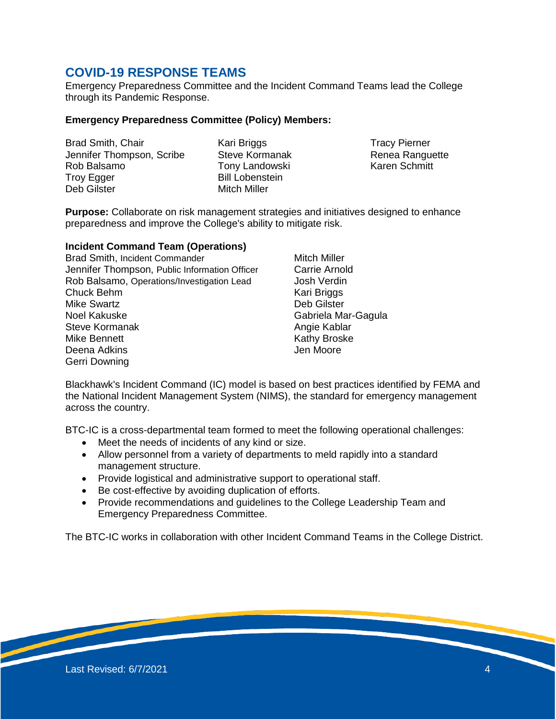# **COVID-19 RESPONSE TEAMS**

Emergency Preparedness Committee and the Incident Command Teams lead the College through its Pandemic Response.

#### **Emergency Preparedness Committee (Policy) Members:**

Brad Smith, Chair Jennifer Thompson, Scribe Rob Balsamo Troy Egger Deb Gilster

Kari Briggs Steve Kormanak Tony Landowski Bill Lobenstein Mitch Miller

Tracy Pierner Renea Ranguette Karen Schmitt

**Purpose:** Collaborate on risk management strategies and initiatives designed to enhance preparedness and improve the College's ability to mitigate risk.

#### **Incident Command Team (Operations)**

Brad Smith, Incident Commander Jennifer Thompson, Public Information Officer Rob Balsamo, Operations/Investigation Lead Chuck Behm Mike Swartz Noel Kakuske Steve Kormanak Mike Bennett Deena Adkins Gerri Downing

Mitch Miller Carrie Arnold Josh Verdin Kari Briggs Deb Gilster Gabriela Mar-Gagula Angie Kablar Kathy Broske Jen Moore

Blackhawk's Incident Command (IC) model is based on best practices identified by FEMA and the National Incident Management System (NIMS), the standard for emergency management across the country.

BTC-IC is a cross-departmental team formed to meet the following operational challenges:

- Meet the needs of incidents of any kind or size.
- Allow personnel from a variety of departments to meld rapidly into a standard management structure.
- Provide logistical and administrative support to operational staff.
- Be cost-effective by avoiding duplication of efforts.
- Provide recommendations and guidelines to the College Leadership Team and Emergency Preparedness Committee.

The BTC-IC works in collaboration with other Incident Command Teams in the College District.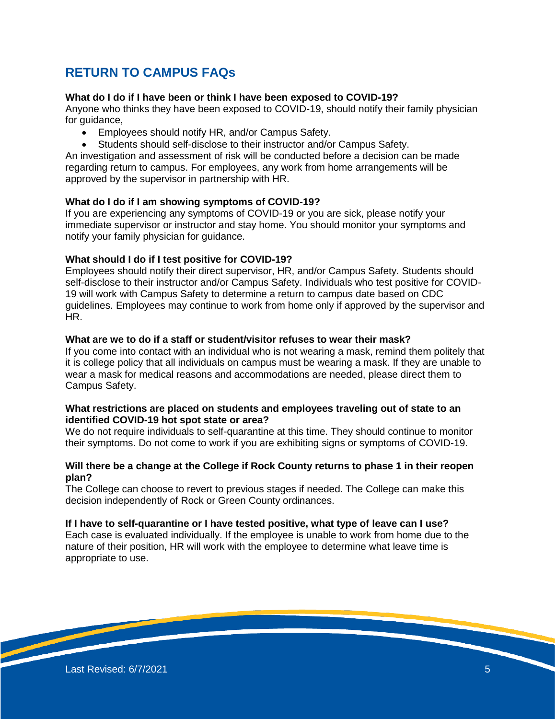# **RETURN TO CAMPUS FAQs**

## **What do I do if I have been or think I have been exposed to COVID-19?**

Anyone who thinks they have been exposed to COVID-19, should notify their family physician for guidance,

- Employees should notify HR, and/or Campus Safety.
- Students should self-disclose to their instructor and/or Campus Safety.

An investigation and assessment of risk will be conducted before a decision can be made regarding return to campus. For employees, any work from home arrangements will be approved by the supervisor in partnership with HR.

#### **What do I do if I am showing symptoms of COVID-19?**

If you are experiencing any symptoms of COVID-19 or you are sick, please notify your immediate supervisor or instructor and stay home. You should monitor your symptoms and notify your family physician for guidance.

#### **What should I do if I test positive for COVID-19?**

Employees should notify their direct supervisor, HR, and/or Campus Safety. Students should self-disclose to their instructor and/or Campus Safety. Individuals who test positive for COVID-19 will work with Campus Safety to determine a return to campus date based on CDC guidelines. Employees may continue to work from home only if approved by the supervisor and HR.

# **What are we to do if a staff or student/visitor refuses to wear their mask?**

If you come into contact with an individual who is not wearing a mask, remind them politely that it is college policy that all individuals on campus must be wearing a mask. If they are unable to wear a mask for medical reasons and accommodations are needed, please direct them to Campus Safety.

#### **What restrictions are placed on students and employees traveling out of state to an identified COVID-19 hot spot state or area?**

We do not require individuals to self-quarantine at this time. They should continue to monitor their symptoms. Do not come to work if you are exhibiting signs or symptoms of COVID-19.

#### **Will there be a change at the College if Rock County returns to phase 1 in their reopen plan?**

The College can choose to revert to previous stages if needed. The College can make this decision independently of Rock or Green County ordinances.

#### **If I have to self-quarantine or I have tested positive, what type of leave can I use?**

Each case is evaluated individually. If the employee is unable to work from home due to the nature of their position, HR will work with the employee to determine what leave time is appropriate to use.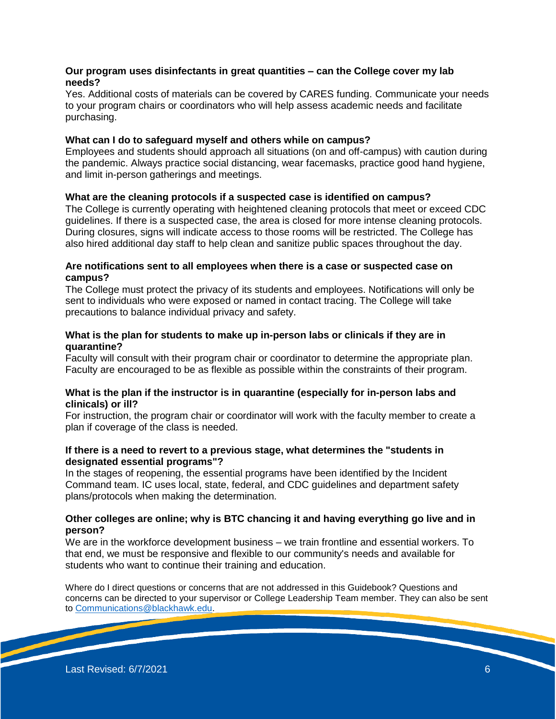#### **Our program uses disinfectants in great quantities – can the College cover my lab needs?**

Yes. Additional costs of materials can be covered by CARES funding. Communicate your needs to your program chairs or coordinators who will help assess academic needs and facilitate purchasing.

#### **What can I do to safeguard myself and others while on campus?**

Employees and students should approach all situations (on and off-campus) with caution during the pandemic. Always practice social distancing, wear facemasks, practice good hand hygiene, and limit in-person gatherings and meetings.

#### **What are the cleaning protocols if a suspected case is identified on campus?**

The College is currently operating with heightened cleaning protocols that meet or exceed CDC guidelines. If there is a suspected case, the area is closed for more intense cleaning protocols. During closures, signs will indicate access to those rooms will be restricted. The College has also hired additional day staff to help clean and sanitize public spaces throughout the day.

#### **Are notifications sent to all employees when there is a case or suspected case on campus?**

The College must protect the privacy of its students and employees. Notifications will only be sent to individuals who were exposed or named in contact tracing. The College will take precautions to balance individual privacy and safety.

#### **What is the plan for students to make up in-person labs or clinicals if they are in quarantine?**

Faculty will consult with their program chair or coordinator to determine the appropriate plan. Faculty are encouraged to be as flexible as possible within the constraints of their program.

#### **What is the plan if the instructor is in quarantine (especially for in-person labs and clinicals) or ill?**

For instruction, the program chair or coordinator will work with the faculty member to create a plan if coverage of the class is needed.

#### **If there is a need to revert to a previous stage, what determines the "students in designated essential programs"?**

In the stages of reopening, the essential programs have been identified by the Incident Command team. IC uses local, state, federal, and CDC guidelines and department safety plans/protocols when making the determination.

#### **Other colleges are online; why is BTC chancing it and having everything go live and in person?**

We are in the workforce development business – we train frontline and essential workers. To that end, we must be responsive and flexible to our community's needs and available for students who want to continue their training and education.

Where do I direct questions or concerns that are not addressed in this Guidebook? Questions and concerns can be directed to your supervisor or College Leadership Team member. They can also be sent to [Communications@blackhawk.edu.](mailto:Communications@blackhawk.edu)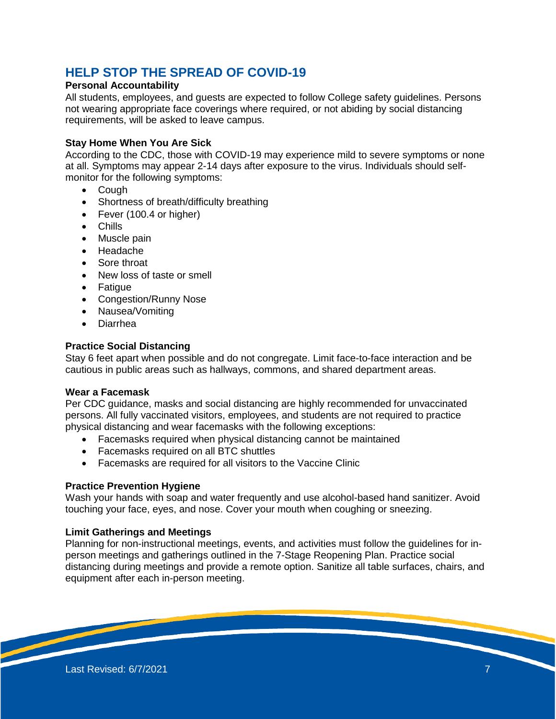# **HELP STOP THE SPREAD OF COVID-19**

## **Personal Accountability**

All students, employees, and guests are expected to follow College safety guidelines. Persons not wearing appropriate face coverings where required, or not abiding by social distancing requirements, will be asked to leave campus.

#### **Stay Home When You Are Sick**

According to the CDC, those with COVID-19 may experience mild to severe symptoms or none at all. Symptoms may appear 2-14 days after exposure to the virus. Individuals should selfmonitor for the following symptoms:

- Cough
- Shortness of breath/difficulty breathing
- Fever (100.4 or higher)
- Chills
- Muscle pain
- Headache
- Sore throat
- New loss of taste or smell
- Fatigue
- Congestion/Runny Nose
- Nausea/Vomiting
- Diarrhea

#### **Practice Social Distancing**

Stay 6 feet apart when possible and do not congregate. Limit face-to-face interaction and be cautious in public areas such as hallways, commons, and shared department areas.

## **Wear a Facemask**

Per CDC guidance, masks and social distancing are highly recommended for unvaccinated persons. All fully vaccinated visitors, employees, and students are not required to practice physical distancing and wear facemasks with the following exceptions:

- Facemasks required when physical distancing cannot be maintained
- Facemasks required on all BTC shuttles
- Facemasks are required for all visitors to the Vaccine Clinic

#### **Practice Prevention Hygiene**

Wash your hands with soap and water frequently and use alcohol-based hand sanitizer. Avoid touching your face, eyes, and nose. Cover your mouth when coughing or sneezing.

#### **Limit Gatherings and Meetings**

Planning for non-instructional meetings, events, and activities must follow the guidelines for inperson meetings and gatherings outlined in the 7-Stage Reopening Plan. Practice social distancing during meetings and provide a remote option. Sanitize all table surfaces, chairs, and equipment after each in-person meeting.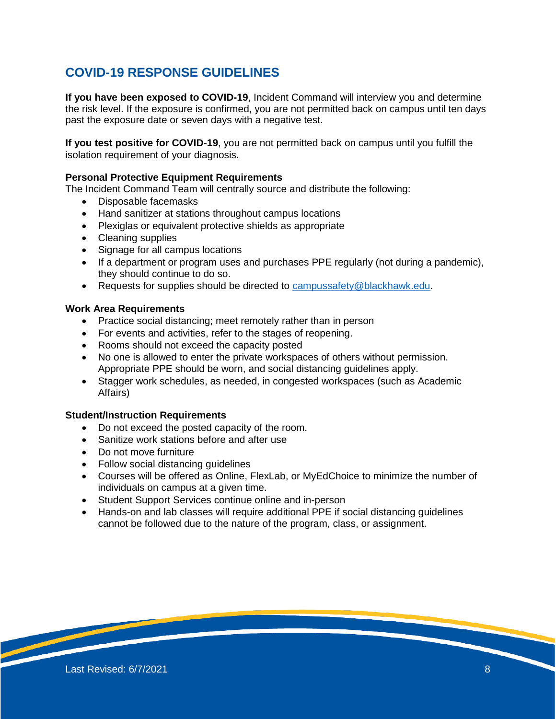# **COVID-19 RESPONSE GUIDELINES**

**If you have been exposed to COVID-19**, Incident Command will interview you and determine the risk level. If the exposure is confirmed, you are not permitted back on campus until ten days past the exposure date or seven days with a negative test.

**If you test positive for COVID-19**, you are not permitted back on campus until you fulfill the isolation requirement of your diagnosis.

#### **Personal Protective Equipment Requirements**

The Incident Command Team will centrally source and distribute the following:

- Disposable facemasks
- Hand sanitizer at stations throughout campus locations
- Plexiglas or equivalent protective shields as appropriate
- Cleaning supplies
- Signage for all campus locations
- If a department or program uses and purchases PPE regularly (not during a pandemic), they should continue to do so.
- Requests for supplies should be directed to [campussafety@blackhawk.edu.](mailto:campussafety@blackhawk.edu)

#### **Work Area Requirements**

- Practice social distancing; meet remotely rather than in person
- For events and activities, refer to the stages of reopening.
- Rooms should not exceed the capacity posted
- No one is allowed to enter the private workspaces of others without permission. Appropriate PPE should be worn, and social distancing guidelines apply.
- Stagger work schedules, as needed, in congested workspaces (such as Academic Affairs)

#### **Student/Instruction Requirements**

- Do not exceed the posted capacity of the room.
- Sanitize work stations before and after use
- Do not move furniture
- Follow social distancing guidelines
- Courses will be offered as Online, FlexLab, or MyEdChoice to minimize the number of individuals on campus at a given time.
- Student Support Services continue online and in-person
- Hands-on and lab classes will require additional PPE if social distancing quidelines cannot be followed due to the nature of the program, class, or assignment.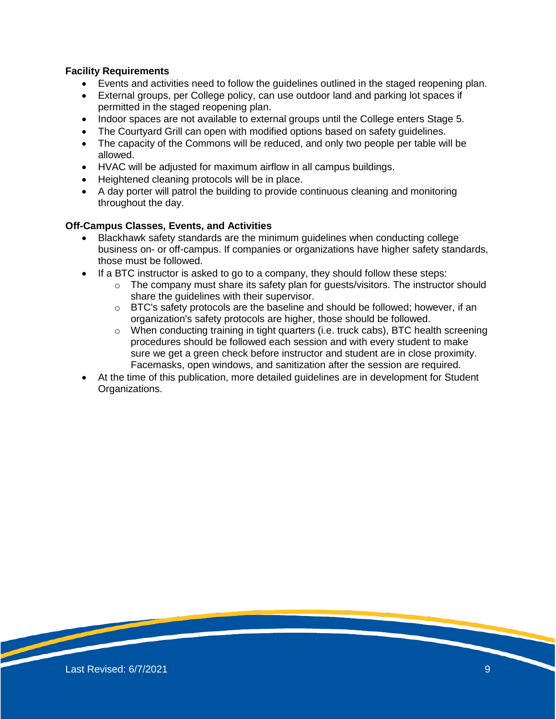# **Facility Requirements**

- Events and activities need to follow the guidelines outlined in the staged reopening plan.
- External groups, per College policy, can use outdoor land and parking lot spaces if permitted in the staged reopening plan.
- Indoor spaces are not available to external groups until the College enters Stage 5.
- The Courtyard Grill can open with modified options based on safety guidelines.
- The capacity of the Commons will be reduced, and only two people per table will be allowed.
- HVAC will be adjusted for maximum airflow in all campus buildings.
- Heightened cleaning protocols will be in place.
- A day porter will patrol the building to provide continuous cleaning and monitoring throughout the day.

# **Off-Campus Classes, Events, and Activities**

- Blackhawk safety standards are the minimum guidelines when conducting college business on- or off-campus. If companies or organizations have higher safety standards, those must be followed.
- $\bullet$  If a BTC instructor is asked to go to a company, they should follow these steps:
	- o The company must share its safety plan for guests/visitors. The instructor should share the guidelines with their supervisor.
	- $\circ$  BTC's safety protocols are the baseline and should be followed; however, if an organization's safety protocols are higher, those should be followed.
	- $\circ$  When conducting training in tight quarters (i.e. truck cabs), BTC health screening procedures should be followed each session and with every student to make sure we get a green check before instructor and student are in close proximity. Facemasks, open windows, and sanitization after the session are required.
- At the time of this publication, more detailed guidelines are in development for Student Organizations.

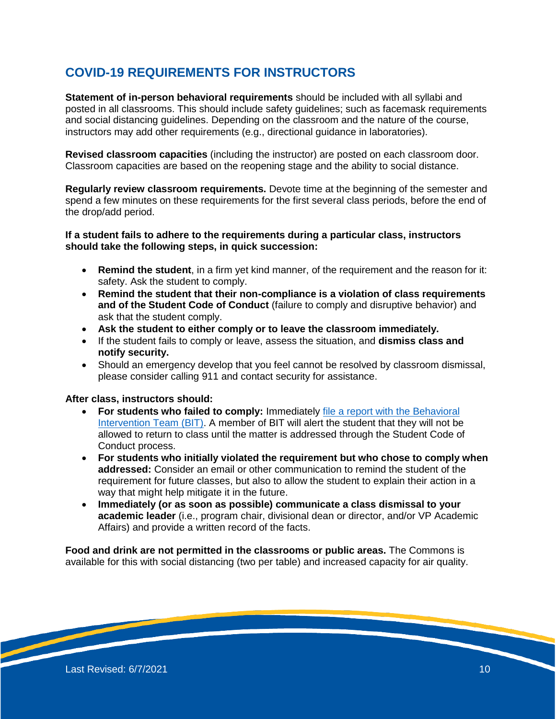# **COVID-19 REQUIREMENTS FOR INSTRUCTORS**

**Statement of in-person behavioral requirements** should be included with all syllabi and posted in all classrooms. This should include safety guidelines; such as facemask requirements and social distancing guidelines. Depending on the classroom and the nature of the course, instructors may add other requirements (e.g., directional guidance in laboratories).

**Revised classroom capacities** (including the instructor) are posted on each classroom door. Classroom capacities are based on the reopening stage and the ability to social distance.

**Regularly review classroom requirements.** Devote time at the beginning of the semester and spend a few minutes on these requirements for the first several class periods, before the end of the drop/add period.

#### **If a student fails to adhere to the requirements during a particular class, instructors should take the following steps, in quick succession:**

- **Remind the student**, in a firm yet kind manner, of the requirement and the reason for it: safety. Ask the student to comply.
- **Remind the student that their non-compliance is a violation of class requirements and of the Student Code of Conduct** (failure to comply and disruptive behavior) and ask that the student comply.
- **Ask the student to either comply or to leave the classroom immediately.**
- If the student fails to comply or leave, assess the situation, and **dismiss class and notify security.**
- Should an emergency develop that you feel cannot be resolved by classroom dismissal, please consider calling 911 and contact security for assistance.

#### **After class, instructors should:**

- **For students who failed to comply:** Immediately [file a report with the Behavioral](https://blackhawk.edu/About/Safety-Security/Behavior-Intervention-Team)  [Intervention Team \(BIT\).](https://blackhawk.edu/About/Safety-Security/Behavior-Intervention-Team) A member of BIT will alert the student that they will not be allowed to return to class until the matter is addressed through the Student Code of Conduct process.
- **For students who initially violated the requirement but who chose to comply when addressed:** Consider an email or other communication to remind the student of the requirement for future classes, but also to allow the student to explain their action in a way that might help mitigate it in the future.
- **Immediately (or as soon as possible) communicate a class dismissal to your academic leader** (i.e., program chair, divisional dean or director, and/or VP Academic Affairs) and provide a written record of the facts.

**Food and drink are not permitted in the classrooms or public areas.** The Commons is available for this with social distancing (two per table) and increased capacity for air quality.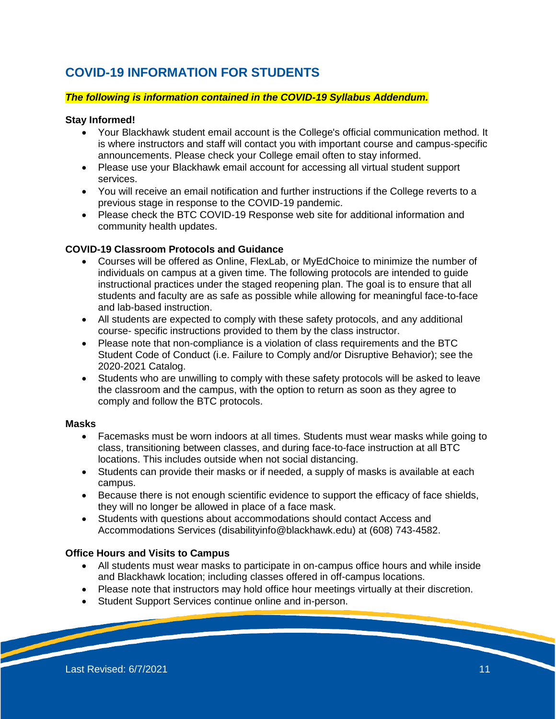# **COVID-19 INFORMATION FOR STUDENTS**

## *The following is information contained in the COVID-19 Syllabus Addendum.*

#### **Stay Informed!**

- Your Blackhawk student email account is the College's official communication method. It is where instructors and staff will contact you with important course and campus-specific announcements. Please check your College email often to stay informed.
- Please use your Blackhawk email account for accessing all virtual student support services.
- You will receive an email notification and further instructions if the College reverts to a previous stage in response to the COVID-19 pandemic.
- Please check the BTC COVID-19 Response web site for additional information and community health updates.

# **COVID-19 Classroom Protocols and Guidance**

- Courses will be offered as Online, FlexLab, or MyEdChoice to minimize the number of individuals on campus at a given time. The following protocols are intended to guide instructional practices under the staged reopening plan. The goal is to ensure that all students and faculty are as safe as possible while allowing for meaningful face-to-face and lab-based instruction.
- All students are expected to comply with these safety protocols, and any additional course- specific instructions provided to them by the class instructor.
- Please note that non-compliance is a violation of class requirements and the BTC Student Code of Conduct (i.e. Failure to Comply and/or Disruptive Behavior); see the 2020-2021 Catalog.
- Students who are unwilling to comply with these safety protocols will be asked to leave the classroom and the campus, with the option to return as soon as they agree to comply and follow the BTC protocols.

#### **Masks**

- Facemasks must be worn indoors at all times. Students must wear masks while going to class, transitioning between classes, and during face-to-face instruction at all BTC locations. This includes outside when not social distancing.
- Students can provide their masks or if needed, a supply of masks is available at each campus.
- Because there is not enough scientific evidence to support the efficacy of face shields, they will no longer be allowed in place of a face mask.
- Students with questions about accommodations should contact Access and Accommodations Services (disabilityinfo@blackhawk.edu) at (608) 743-4582.

# **Office Hours and Visits to Campus**

- All students must wear masks to participate in on-campus office hours and while inside and Blackhawk location; including classes offered in off-campus locations.
- Please note that instructors may hold office hour meetings virtually at their discretion.
- Student Support Services continue online and in-person.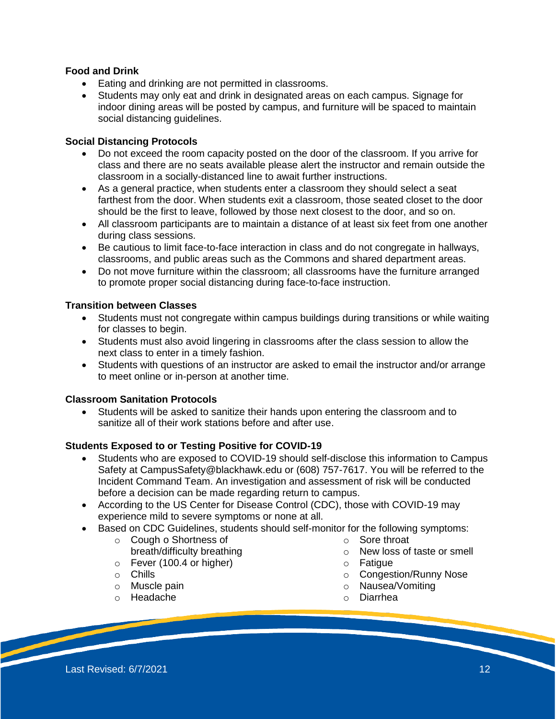# **Food and Drink**

- Eating and drinking are not permitted in classrooms.
- Students may only eat and drink in designated areas on each campus. Signage for indoor dining areas will be posted by campus, and furniture will be spaced to maintain social distancing guidelines.

# **Social Distancing Protocols**

- Do not exceed the room capacity posted on the door of the classroom. If you arrive for class and there are no seats available please alert the instructor and remain outside the classroom in a socially-distanced line to await further instructions.
- As a general practice, when students enter a classroom they should select a seat farthest from the door. When students exit a classroom, those seated closet to the door should be the first to leave, followed by those next closest to the door, and so on.
- All classroom participants are to maintain a distance of at least six feet from one another during class sessions.
- Be cautious to limit face-to-face interaction in class and do not congregate in hallways, classrooms, and public areas such as the Commons and shared department areas.
- Do not move furniture within the classroom; all classrooms have the furniture arranged to promote proper social distancing during face-to-face instruction.

# **Transition between Classes**

- Students must not congregate within campus buildings during transitions or while waiting for classes to begin.
- Students must also avoid lingering in classrooms after the class session to allow the next class to enter in a timely fashion.
- Students with questions of an instructor are asked to email the instructor and/or arrange to meet online or in-person at another time.

# **Classroom Sanitation Protocols**

 Students will be asked to sanitize their hands upon entering the classroom and to sanitize all of their work stations before and after use.

# **Students Exposed to or Testing Positive for COVID-19**

- Students who are exposed to COVID-19 should self-disclose this information to Campus Safety at CampusSafety@blackhawk.edu or (608) 757-7617. You will be referred to the Incident Command Team. An investigation and assessment of risk will be conducted before a decision can be made regarding return to campus.
- According to the US Center for Disease Control (CDC), those with COVID-19 may experience mild to severe symptoms or none at all.
- Based on CDC Guidelines, students should self-monitor for the following symptoms:
	- o Cough o Shortness of breath/difficulty breathing
	- $\circ$  Fever (100.4 or higher)
	- o Chills
	- o Muscle pain
	- o Headache
- o Sore throat
- o New loss of taste or smell
- o Fatigue
- o Congestion/Runny Nose
- o Nausea/Vomiting
- o Diarrhea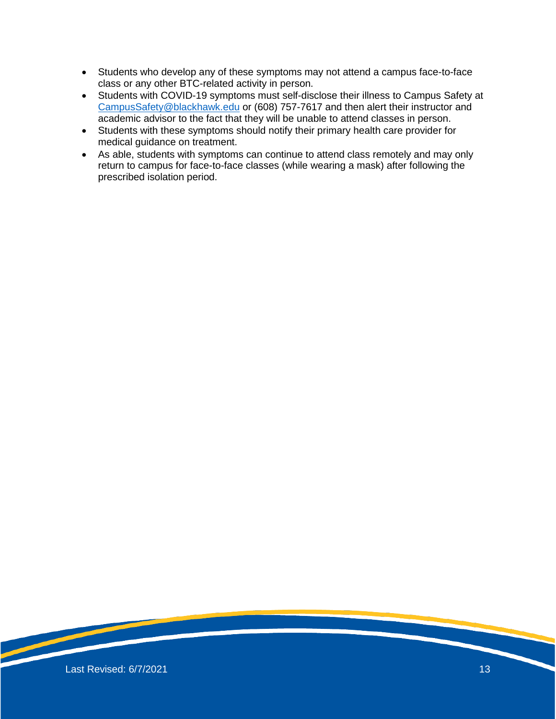- Students who develop any of these symptoms may not attend a campus face-to-face class or any other BTC-related activity in person.
- Students with COVID-19 symptoms must self-disclose their illness to Campus Safety at [CampusSafety@blackhawk.edu](mailto:CampusSafety@blackhawk.edu) or (608) 757-7617 and then alert their instructor and academic advisor to the fact that they will be unable to attend classes in person.
- Students with these symptoms should notify their primary health care provider for medical guidance on treatment.
- As able, students with symptoms can continue to attend class remotely and may only return to campus for face-to-face classes (while wearing a mask) after following the prescribed isolation period.

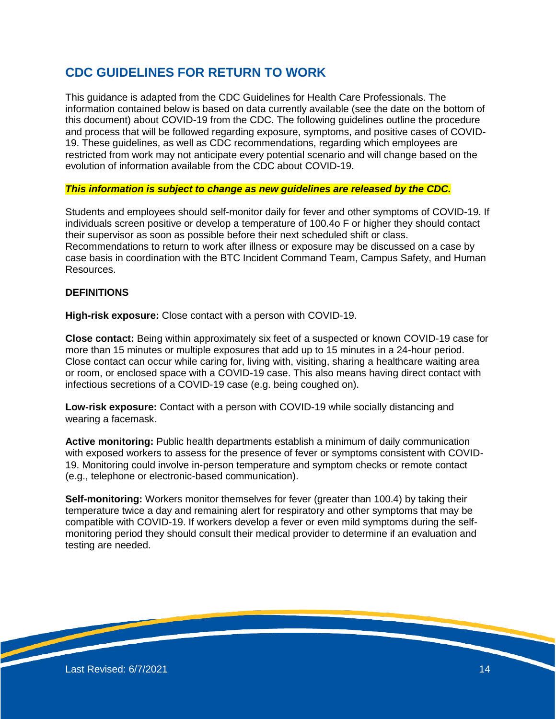# **CDC GUIDELINES FOR RETURN TO WORK**

This guidance is adapted from the CDC Guidelines for Health Care Professionals. The information contained below is based on data currently available (see the date on the bottom of this document) about COVID-19 from the CDC. The following guidelines outline the procedure and process that will be followed regarding exposure, symptoms, and positive cases of COVID-19. These guidelines, as well as CDC recommendations, regarding which employees are restricted from work may not anticipate every potential scenario and will change based on the evolution of information available from the CDC about COVID-19.

#### *This information is subject to change as new guidelines are released by the CDC.*

Students and employees should self-monitor daily for fever and other symptoms of COVID-19. If individuals screen positive or develop a temperature of 100.4o F or higher they should contact their supervisor as soon as possible before their next scheduled shift or class. Recommendations to return to work after illness or exposure may be discussed on a case by case basis in coordination with the BTC Incident Command Team, Campus Safety, and Human Resources.

## **DEFINITIONS**

**High-risk exposure:** Close contact with a person with COVID-19.

**Close contact:** Being within approximately six feet of a suspected or known COVID-19 case for more than 15 minutes or multiple exposures that add up to 15 minutes in a 24-hour period. Close contact can occur while caring for, living with, visiting, sharing a healthcare waiting area or room, or enclosed space with a COVID-19 case. This also means having direct contact with infectious secretions of a COVID-19 case (e.g. being coughed on).

**Low-risk exposure:** Contact with a person with COVID-19 while socially distancing and wearing a facemask.

**Active monitoring:** Public health departments establish a minimum of daily communication with exposed workers to assess for the presence of fever or symptoms consistent with COVID-19. Monitoring could involve in-person temperature and symptom checks or remote contact (e.g., telephone or electronic-based communication).

**Self-monitoring:** Workers monitor themselves for fever (greater than 100.4) by taking their temperature twice a day and remaining alert for respiratory and other symptoms that may be compatible with COVID-19. If workers develop a fever or even mild symptoms during the selfmonitoring period they should consult their medical provider to determine if an evaluation and testing are needed.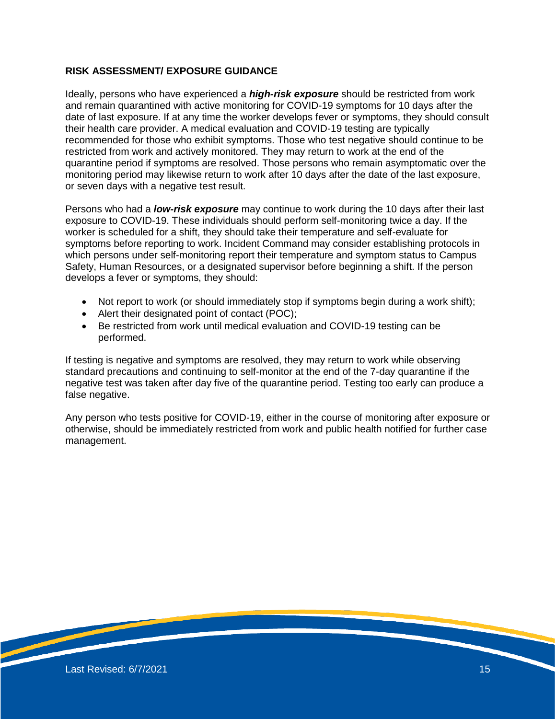# **RISK ASSESSMENT/ EXPOSURE GUIDANCE**

Ideally, persons who have experienced a *high-risk exposure* should be restricted from work and remain quarantined with active monitoring for COVID-19 symptoms for 10 days after the date of last exposure. If at any time the worker develops fever or symptoms, they should consult their health care provider. A medical evaluation and COVID-19 testing are typically recommended for those who exhibit symptoms. Those who test negative should continue to be restricted from work and actively monitored. They may return to work at the end of the quarantine period if symptoms are resolved. Those persons who remain asymptomatic over the monitoring period may likewise return to work after 10 days after the date of the last exposure, or seven days with a negative test result.

Persons who had a *low-risk exposure* may continue to work during the 10 days after their last exposure to COVID-19. These individuals should perform self-monitoring twice a day. If the worker is scheduled for a shift, they should take their temperature and self-evaluate for symptoms before reporting to work. Incident Command may consider establishing protocols in which persons under self-monitoring report their temperature and symptom status to Campus Safety, Human Resources, or a designated supervisor before beginning a shift. If the person develops a fever or symptoms, they should:

- Not report to work (or should immediately stop if symptoms begin during a work shift);
- Alert their designated point of contact (POC);
- Be restricted from work until medical evaluation and COVID-19 testing can be performed.

If testing is negative and symptoms are resolved, they may return to work while observing standard precautions and continuing to self-monitor at the end of the 7-day quarantine if the negative test was taken after day five of the quarantine period. Testing too early can produce a false negative.

Any person who tests positive for COVID-19, either in the course of monitoring after exposure or otherwise, should be immediately restricted from work and public health notified for further case management.

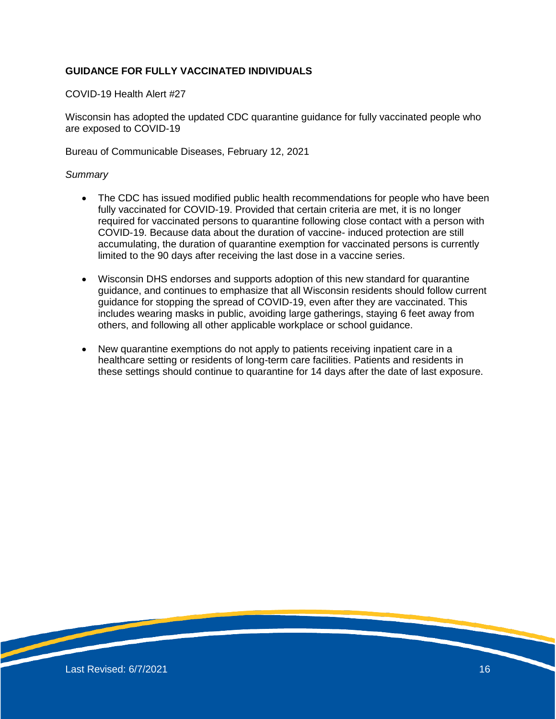# **GUIDANCE FOR FULLY VACCINATED INDIVIDUALS**

COVID-19 Health Alert #27

Wisconsin has adopted the updated CDC quarantine guidance for fully vaccinated people who are exposed to COVID-19

Bureau of Communicable Diseases, February 12, 2021

#### *Summary*

- The CDC has issued modified public health recommendations for people who have been fully vaccinated for COVID-19. Provided that certain criteria are met, it is no longer required for vaccinated persons to quarantine following close contact with a person with COVID-19. Because data about the duration of vaccine- induced protection are still accumulating, the duration of quarantine exemption for vaccinated persons is currently limited to the 90 days after receiving the last dose in a vaccine series.
- Wisconsin DHS endorses and supports adoption of this new standard for quarantine guidance, and continues to emphasize that all Wisconsin residents should follow current guidance for stopping the spread of COVID-19, even after they are vaccinated. This includes wearing masks in public, avoiding large gatherings, staying 6 feet away from others, and following all other applicable workplace or school guidance.
- New quarantine exemptions do not apply to patients receiving inpatient care in a healthcare setting or residents of long-term care facilities. Patients and residents in these settings should continue to quarantine for 14 days after the date of last exposure.

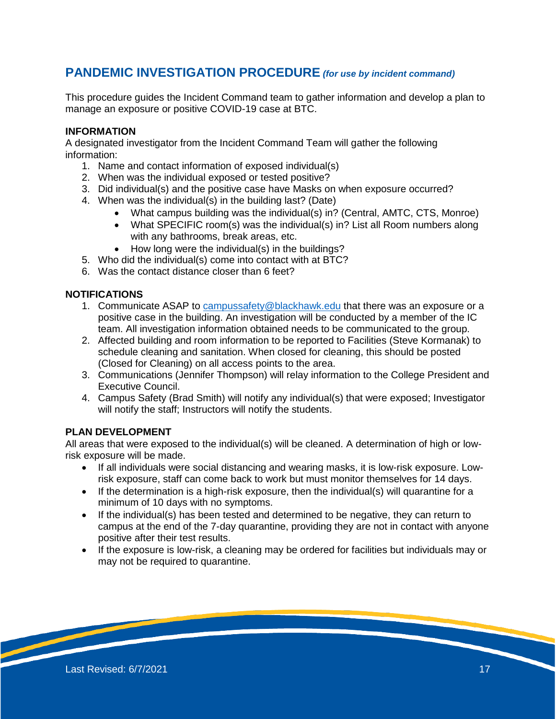# **PANDEMIC INVESTIGATION PROCEDURE** *(for use by incident command)*

This procedure guides the Incident Command team to gather information and develop a plan to manage an exposure or positive COVID-19 case at BTC.

# **INFORMATION**

A designated investigator from the Incident Command Team will gather the following information:

- 1. Name and contact information of exposed individual(s)
- 2. When was the individual exposed or tested positive?
- 3. Did individual(s) and the positive case have Masks on when exposure occurred?
- 4. When was the individual(s) in the building last? (Date)
	- What campus building was the individual(s) in? (Central, AMTC, CTS, Monroe)
	- What SPECIFIC room(s) was the individual(s) in? List all Room numbers along with any bathrooms, break areas, etc.
	- How long were the individual(s) in the buildings?
- 5. Who did the individual(s) come into contact with at BTC?
- 6. Was the contact distance closer than 6 feet?

# **NOTIFICATIONS**

- 1. Communicate ASAP to [campussafety@blackhawk.edu](mailto:campussafety@blackhawk.edu) that there was an exposure or a positive case in the building. An investigation will be conducted by a member of the IC team. All investigation information obtained needs to be communicated to the group.
- 2. Affected building and room information to be reported to Facilities (Steve Kormanak) to schedule cleaning and sanitation. When closed for cleaning, this should be posted (Closed for Cleaning) on all access points to the area.
- 3. Communications (Jennifer Thompson) will relay information to the College President and Executive Council.
- 4. Campus Safety (Brad Smith) will notify any individual(s) that were exposed; Investigator will notify the staff; Instructors will notify the students.

# **PLAN DEVELOPMENT**

All areas that were exposed to the individual(s) will be cleaned. A determination of high or lowrisk exposure will be made.

- If all individuals were social distancing and wearing masks, it is low-risk exposure. Lowrisk exposure, staff can come back to work but must monitor themselves for 14 days.
- $\bullet$  If the determination is a high-risk exposure, then the individual(s) will quarantine for a minimum of 10 days with no symptoms.
- If the individual(s) has been tested and determined to be negative, they can return to campus at the end of the 7-day quarantine, providing they are not in contact with anyone positive after their test results.
- If the exposure is low-risk, a cleaning may be ordered for facilities but individuals may or may not be required to quarantine.